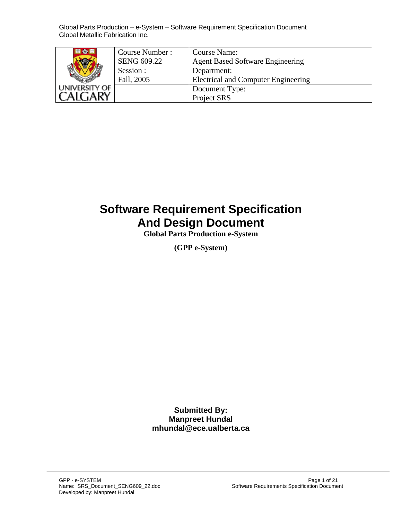| 리 43 15       | Course Number:<br><b>SENG 609.22</b> | <b>Course Name:</b><br><b>Agent Based Software Engineering</b> |
|---------------|--------------------------------------|----------------------------------------------------------------|
|               | Session :<br>Fall, 2005              | Department:<br><b>Electrical and Computer Engineering</b>      |
| UNIVERSITY OF |                                      | Document Type:<br>Project SRS                                  |

# **Software Requirement Specification And Design Document**

**Global Parts Production e-System** 

**(GPP e-System)**

**Submitted By: Manpreet Hundal mhundal@ece.ualberta.ca**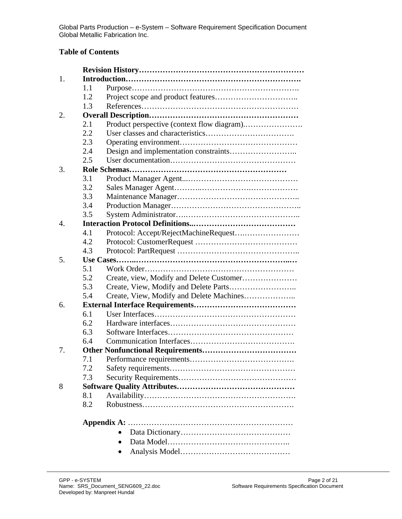### **Table of Contents**

| Create, view, Modify and Delete Customer |
|------------------------------------------|
|                                          |
| Create, View, Modify and Delete Machines |
|                                          |
|                                          |
|                                          |
|                                          |
|                                          |
|                                          |
|                                          |
|                                          |
|                                          |
|                                          |
|                                          |
|                                          |
|                                          |
|                                          |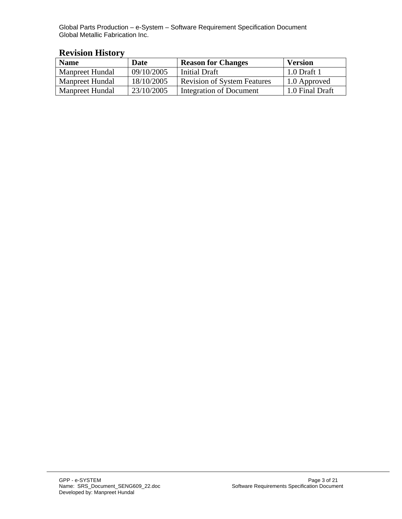| <b>Name</b>     | Date       | <b>Reason for Changes</b>          | <b>Version</b>  |
|-----------------|------------|------------------------------------|-----------------|
| Manpreet Hundal | 09/10/2005 | Initial Draft                      | 1.0 Draft 1     |
| Manpreet Hundal | 18/10/2005 | <b>Revision of System Features</b> | 1.0 Approved    |
| Manpreet Hundal | 23/10/2005 | Integration of Document            | 1.0 Final Draft |

## **Revision History**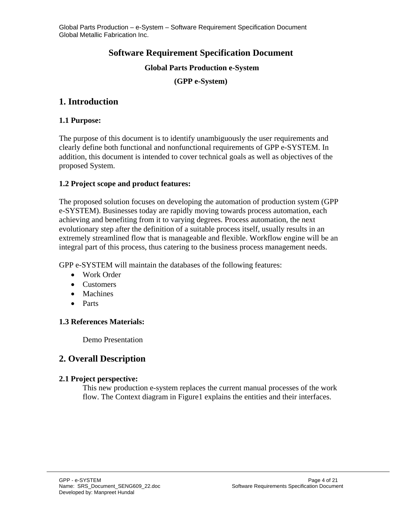## **Software Requirement Specification Document**

#### **Global Parts Production e-System**

**(GPP e-System)**

## **1. Introduction**

#### **1.1 Purpose:**

The purpose of this document is to identify unambiguously the user requirements and clearly define both functional and nonfunctional requirements of GPP e-SYSTEM. In addition, this document is intended to cover technical goals as well as objectives of the proposed System.

#### **1.2 Project scope and product features:**

The proposed solution focuses on developing the automation of production system (GPP e-SYSTEM). Businesses today are rapidly moving towards process automation, each achieving and benefiting from it to varying degrees. Process automation, the next evolutionary step after the definition of a suitable process itself, usually results in an extremely streamlined flow that is manageable and flexible. Workflow engine will be an integral part of this process, thus catering to the business process management needs.

GPP e-SYSTEM will maintain the databases of the following features:

- Work Order
- Customers
- Machines
- Parts

### **1.3 References Materials:**

Demo Presentation

## **2. Overall Description**

#### **2.1 Project perspective:**

This new production e-system replaces the current manual processes of the work flow. The Context diagram in Figure1 explains the entities and their interfaces.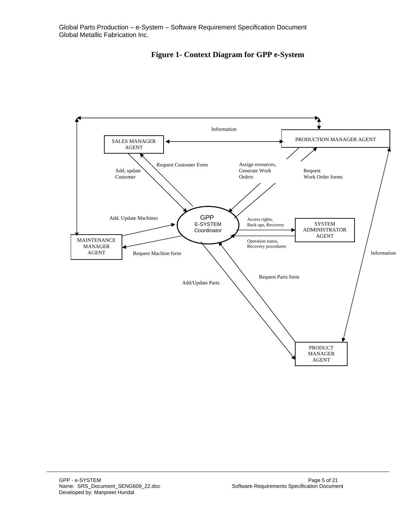

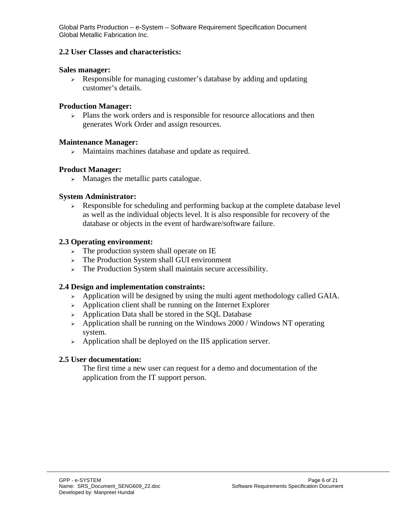#### **2.2 User Classes and characteristics:**

#### **Sales manager:**

<sup>¾</sup> Responsible for managing customer's database by adding and updating customer's details.

#### **Production Manager:**

 $\geq$  Plans the work orders and is responsible for resource allocations and then generates Work Order and assign resources.

#### **Maintenance Manager:**

<sup>¾</sup> Maintains machines database and update as required.

#### **Product Manager:**

 $\triangleright$  Manages the metallic parts catalogue.

#### **System Administrator:**

 $\triangleright$  Responsible for scheduling and performing backup at the complete database level as well as the individual objects level. It is also responsible for recovery of the database or objects in the event of hardware/software failure.

#### **2.3 Operating environment:**

- <sup>¾</sup> The production system shall operate on IE
- <sup>¾</sup> The Production System shall GUI environment
- $\triangleright$  The Production System shall maintain secure accessibility.

#### **2.4 Design and implementation constraints:**

- $\triangleright$  Application will be designed by using the multi agent methodology called GAIA.
- $\rightarrow$  Application client shall be running on the Internet Explorer
- $\rightarrow$  Application Data shall be stored in the SQL Database
- $\rightarrow$  Application shall be running on the Windows 2000 / Windows NT operating system.
- $\triangleright$  Application shall be deployed on the IIS application server.

#### **2.5 User documentation:**

The first time a new user can request for a demo and documentation of the application from the IT support person.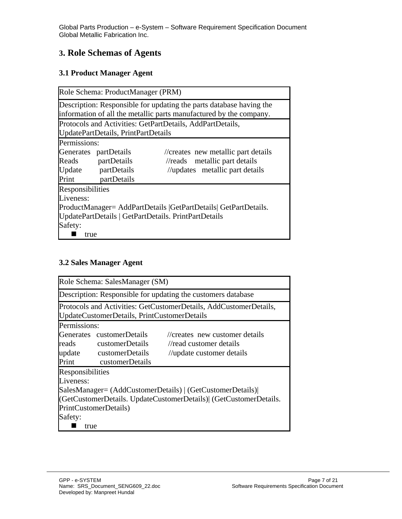## **3. Role Schemas of Agents**

## **3.1 Product Manager Agent**

|                       | Role Schema: ProductManager (PRM)                                   |                                                                    |  |
|-----------------------|---------------------------------------------------------------------|--------------------------------------------------------------------|--|
|                       | Description: Responsible for updating the parts database having the |                                                                    |  |
|                       |                                                                     | information of all the metallic parts manufactured by the company. |  |
|                       |                                                                     | Protocols and Activities: GetPartDetails, AddPartDetails,          |  |
|                       | UpdatePartDetails, PrintPartDetails                                 |                                                                    |  |
| Permissions:          |                                                                     |                                                                    |  |
| Generates partDetails |                                                                     | //creates new metallic part details                                |  |
|                       | Reads partDetails                                                   | $\sqrt{\alpha}$ metallic part details                              |  |
|                       | Update partDetails                                                  | //updates metallic part details                                    |  |
|                       | Print partDetails                                                   |                                                                    |  |
| Responsibilities      |                                                                     |                                                                    |  |
| Liveness:             |                                                                     |                                                                    |  |
|                       |                                                                     | ProductManager= AddPartDetails   GetPartDetails   GetPartDetails.  |  |
|                       |                                                                     | UpdatePartDetails   GetPartDetails. PrintPartDetails               |  |
| Safety:               |                                                                     |                                                                    |  |
| true                  |                                                                     |                                                                    |  |

## **3.2 Sales Manager Agent**

|                                                                  | Role Schema: SalesManager (SM)              |                                                                   |
|------------------------------------------------------------------|---------------------------------------------|-------------------------------------------------------------------|
|                                                                  |                                             | Description: Responsible for updating the customers database      |
|                                                                  | UpdateCustomerDetails, PrintCustomerDetails | Protocols and Activities: GetCustomerDetails, AddCustomerDetails, |
| Permissions:                                                     |                                             |                                                                   |
|                                                                  | Generates customerDetails                   | //creates new customer details                                    |
|                                                                  | reads customerDetails                       | //read customer details                                           |
|                                                                  | update customerDetails                      | //update customer details                                         |
| Print                                                            | customerDetails                             |                                                                   |
| Responsibilities                                                 |                                             |                                                                   |
| Liveness:                                                        |                                             |                                                                   |
|                                                                  |                                             | SalesManager= (AddCustomerDetails)   (GetCustomerDetails)         |
| (GetCustomerDetails. UpdateCustomerDetails) (GetCustomerDetails. |                                             |                                                                   |
|                                                                  | PrintCustomerDetails)                       |                                                                   |
| Safety:                                                          |                                             |                                                                   |
| true                                                             |                                             |                                                                   |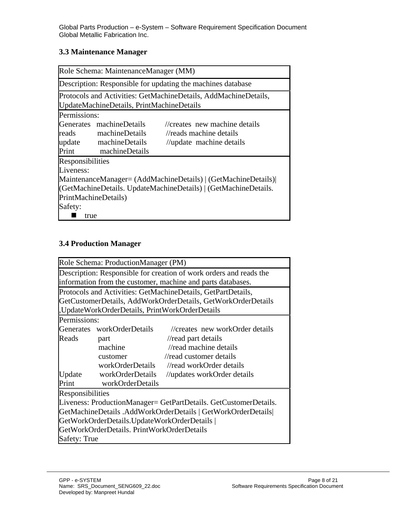#### **3.3 Maintenance Manager**

| Role Schema: MaintenanceManager (MM)                            |                                           |                                                                 |
|-----------------------------------------------------------------|-------------------------------------------|-----------------------------------------------------------------|
|                                                                 |                                           | Description: Responsible for updating the machines database     |
|                                                                 | UpdateMachineDetails, PrintMachineDetails | Protocols and Activities: GetMachineDetails, AddMachineDetails, |
| Permissions:                                                    |                                           |                                                                 |
|                                                                 | Generates machineDetails                  | //creates new machine details                                   |
|                                                                 | reads machineDetails                      | //reads machine details                                         |
|                                                                 | update machineDetails                     | //update machine details                                        |
|                                                                 | Print machineDetails                      |                                                                 |
| Responsibilities                                                |                                           |                                                                 |
| Liveness:                                                       |                                           |                                                                 |
|                                                                 |                                           | MaintenanceManager= (AddMachineDetails)   (GetMachineDetails)   |
| (GetMachineDetails. UpdateMachineDetails)   (GetMachineDetails. |                                           |                                                                 |
| PrintMachineDetails)                                            |                                           |                                                                 |
| Safety:                                                         |                                           |                                                                 |
| true                                                            |                                           |                                                                 |

## **3.4 Production Manager**

|                  | Role Schema: ProductionManager (PM)           |                                                                    |
|------------------|-----------------------------------------------|--------------------------------------------------------------------|
|                  |                                               | Description: Responsible for creation of work orders and reads the |
|                  |                                               | information from the customer, machine and parts databases.        |
|                  |                                               | Protocols and Activities: GetMachineDetails, GetPartDetails,       |
|                  |                                               | GetCustomerDetails, AddWorkOrderDetails, GetWorkOrderDetails       |
|                  | UpdateWorkOrderDetails, PrintWorkOrderDetails |                                                                    |
| Permissions:     |                                               |                                                                    |
|                  | Generates workOrderDetails                    | //creates new workOrder details                                    |
| Reads            | part                                          | $\frac{1}{\sqrt{2}}$ read part details                             |
|                  | machine                                       | $\sqrt{\pi}$ machine details                                       |
|                  | customer                                      | //read customer details                                            |
|                  | workOrderDetails                              | //read workOrder details                                           |
| Update           | workOrderDetails                              | //updates workOrder details                                        |
| Print            | workOrderDetails                              |                                                                    |
| Responsibilities |                                               |                                                                    |
|                  |                                               | Liveness: ProductionManager= GetPartDetails. GetCustomerDetails.   |
|                  |                                               | GetMachineDetails .AddWorkOrderDetails   GetWorkOrderDetails       |
|                  | GetWorkOrderDetails.UpdateWorkOrderDetails    |                                                                    |
|                  | GetWorkOrderDetails. PrintWorkOrderDetails    |                                                                    |
| Safety: True     |                                               |                                                                    |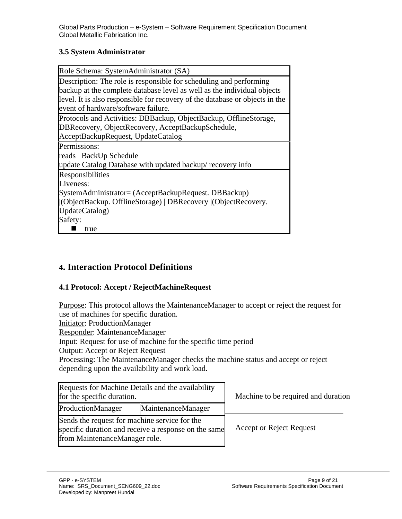#### **3.5 System Administrator**

| Role Schema: SystemAdministrator (SA)                                        |
|------------------------------------------------------------------------------|
| Description: The role is responsible for scheduling and performing           |
| backup at the complete database level as well as the individual objects      |
| level. It is also responsible for recovery of the database or objects in the |
| event of hardware/software failure.                                          |
| Protocols and Activities: DBBackup, ObjectBackup, OfflineStorage,            |
| DBRecovery, ObjectRecovery, AcceptBackupSchedule,                            |
| AcceptBackupRequest, UpdateCatalog                                           |
| Permissions:                                                                 |
| reads BackUp Schedule                                                        |
| update Catalog Database with updated backup/recovery info                    |
| Responsibilities                                                             |
| Liveness:                                                                    |
| SystemAdministrator= (AcceptBackupRequest. DBBackup)                         |
| (ObjectBackup. OfflineStorage)   DBRecovery   (ObjectRecovery.               |
| UpdateCatalog)                                                               |
| Safety:                                                                      |
| true                                                                         |

## **4. Interaction Protocol Definitions**

#### **4.1 Protocol: Accept / RejectMachineRequest**

Purpose: This protocol allows the MaintenanceManager to accept or reject the request for use of machines for specific duration.

Initiator: ProductionManager

Responder: MaintenanceManager

Input: Request for use of machine for the specific time period

Output: Accept or Reject Request

Processing: The MaintenanceManager checks the machine status and accept or reject depending upon the availability and work load.

| Requests for Machine Details and the availability<br>for the specific duration.                                                        |                    | Machine to be required and duration |
|----------------------------------------------------------------------------------------------------------------------------------------|--------------------|-------------------------------------|
| ProductionManager                                                                                                                      | MaintenanceManager |                                     |
| Sends the request for machine service for the<br>specific duration and receive a response on the same<br>from MaintenanceManager role. |                    | <b>Accept or Reject Request</b>     |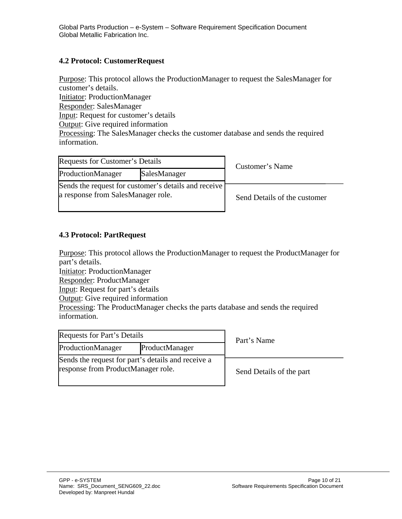#### **4.2 Protocol: CustomerRequest**

Purpose: This protocol allows the ProductionManager to request the SalesManager for customer's details. Initiator: ProductionManager Responder: SalesManager Input: Request for customer's details Output: Give required information Processing: The SalesManager checks the customer database and sends the required information.

| Requests for Customer's Details                                                            |  | Customer's Name              |  |
|--------------------------------------------------------------------------------------------|--|------------------------------|--|
| ProductionManager<br>SalesManager                                                          |  |                              |  |
| Sends the request for customer's details and receive<br>a response from SalesManager role. |  | Send Details of the customer |  |

#### **4.3 Protocol: PartRequest**

Purpose: This protocol allows the ProductionManager to request the ProductManager for part's details.

Initiator: ProductionManager

Responder: ProductManager

Input: Request for part's details

**Output:** Give required information

Processing: The ProductManager checks the parts database and sends the required information.

| Requests for Part's Details         |                                                    | P |
|-------------------------------------|----------------------------------------------------|---|
| ProductionManager<br>ProductManager |                                                    |   |
| response from ProductManager role.  | Sends the request for part's details and receive a |   |

Part's Name

Send Details of the part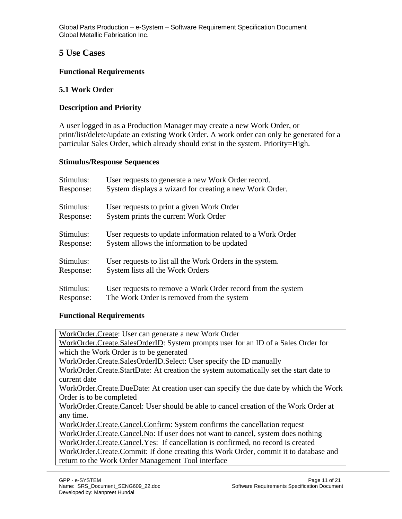## **5 Use Cases**

#### **Functional Requirements**

#### **5.1 Work Order**

#### **Description and Priority**

A user logged in as a Production Manager may create a new Work Order, or print/list/delete/update an existing Work Order. A work order can only be generated for a particular Sales Order, which already should exist in the system. Priority=High.

#### **Stimulus/Response Sequences**

| Stimulus: | User requests to generate a new Work Order record.          |
|-----------|-------------------------------------------------------------|
| Response: | System displays a wizard for creating a new Work Order.     |
| Stimulus: | User requests to print a given Work Order                   |
| Response: | System prints the current Work Order                        |
| Stimulus: | User requests to update information related to a Work Order |
| Response: | System allows the information to be updated                 |
| Stimulus: | User requests to list all the Work Orders in the system.    |
| Response: | System lists all the Work Orders                            |
| Stimulus: | User requests to remove a Work Order record from the system |
| Response: | The Work Order is removed from the system                   |

#### **Functional Requirements**

WorkOrder.Create: User can generate a new Work Order WorkOrder.Create.SalesOrderID: System prompts user for an ID of a Sales Order for which the Work Order is to be generated WorkOrder.Create.SalesOrderID.Select: User specify the ID manually WorkOrder.Create.StartDate: At creation the system automatically set the start date to current date WorkOrder.Create.DueDate: At creation user can specify the due date by which the Work Order is to be completed WorkOrder.Create.Cancel: User should be able to cancel creation of the Work Order at any time. WorkOrder.Create.Cancel.Confirm: System confirms the cancellation request WorkOrder.Create.Cancel.No: If user does not want to cancel, system does nothing WorkOrder.Create.Cancel.Yes:If cancellation is confirmed, no record is created WorkOrder.Create.Commit: If done creating this Work Order, commit it to database and return to the Work Order Management Tool interface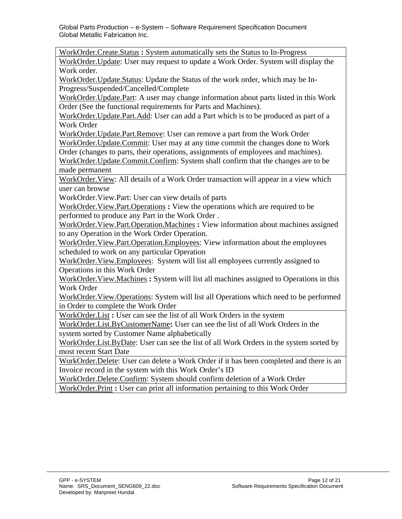WorkOrder.Create.Status **:** System automatically sets the Status to In-Progress

WorkOrder. Update: User may request to update a Work Order. System will display the Work order.

WorkOrder.Update.Status: Update the Status of the work order, which may be In-Progress/Suspended/Cancelled/Complete

WorkOrder.Update.Part: A user may change information about parts listed in this Work Order (See the functional requirements for Parts and Machines).

WorkOrder.Update.Part.Add: User can add a Part which is to be produced as part of a Work Order

WorkOrder.Update.Part.Remove: User can remove a part from the Work Order

WorkOrder.Update.Commit: User may at any time commit the changes done to Work Order (changes to parts, their operations, assignments of employees and machines).

WorkOrder.Update.Commit.Confirm: System shall confirm that the changes are to be made permanent

WorkOrder.View: All details of a Work Order transaction will appear in a view which user can browse

WorkOrder.View.Part: User can view details of parts

WorkOrder.View.Part.Operations **:** View the operations which are required to be performed to produce any Part in the Work Order .

WorkOrder.View.Part.Operation.Machines **:** View information about machines assigned to any Operation in the Work Order Operation.

WorkOrder.View.Part.Operation.Employees: View information about the employees scheduled to work on any particular Operation

WorkOrder.View.Employees: System will list all employees currently assigned to Operations in this Work Order

WorkOrder.View.Machines **:** System will list all machines assigned to Operations in this Work Order

WorkOrder.View.Operations: System will list all Operations which need to be performed in Order to complete the Work Order

WorkOrder.List **:** User can see the list of all Work Orders in the system

WorkOrder.List.ByCustomerName**:** User can see the list of all Work Orders in the system sorted by Customer Name alphabetically

WorkOrder.List.ByDate: User can see the list of all Work Orders in the system sorted by most recent Start Date

WorkOrder.Delete: User can delete a Work Order if it has been completed and there is an Invoice record in the system with this Work Order's ID

WorkOrder.Delete.Confirm: System should confirm deletion of a Work Order WorkOrder.Print **:** User can print all information pertaining to this Work Order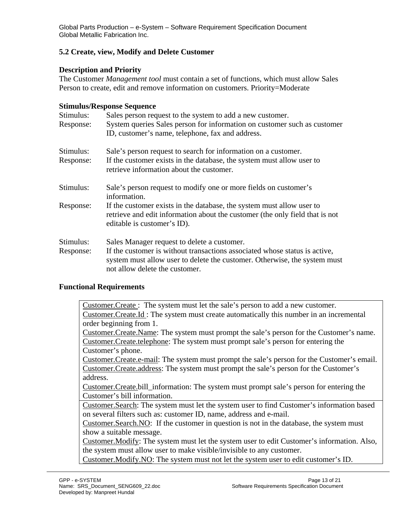#### **5.2 Create, view, Modify and Delete Customer**

#### **Description and Priority**

The Customer *Management tool* must contain a set of functions, which must allow Sales Person to create, edit and remove information on customers. Priority=Moderate

#### **Stimulus/Response Sequence**

| Stimulus: | Sales person request to the system to add a new customer.                                                                                                                                 |  |  |  |  |
|-----------|-------------------------------------------------------------------------------------------------------------------------------------------------------------------------------------------|--|--|--|--|
| Response: | System queries Sales person for information on customer such as customer                                                                                                                  |  |  |  |  |
|           | ID, customer's name, telephone, fax and address.                                                                                                                                          |  |  |  |  |
| Stimulus: | Sale's person request to search for information on a customer.                                                                                                                            |  |  |  |  |
| Response: | If the customer exists in the database, the system must allow user to<br>retrieve information about the customer.                                                                         |  |  |  |  |
| Stimulus: | Sale's person request to modify one or more fields on customer's<br>information.                                                                                                          |  |  |  |  |
| Response: | If the customer exists in the database, the system must allow user to<br>retrieve and edit information about the customer (the only field that is not<br>editable is customer's ID).      |  |  |  |  |
| Stimulus: | Sales Manager request to delete a customer.                                                                                                                                               |  |  |  |  |
| Response: | If the customer is without transactions associated whose status is active,<br>system must allow user to delete the customer. Otherwise, the system must<br>not allow delete the customer. |  |  |  |  |

#### **Functional Requirements**

Customer.Create : The system must let the sale's person to add a new customer. Customer.Create.Id : The system must create automatically this number in an incremental order beginning from 1.

Customer.Create.Name: The system must prompt the sale's person for the Customer's name. Customer.Create.telephone: The system must prompt sale's person for entering the Customer's phone.

Customer.Create.e-mail: The system must prompt the sale's person for the Customer's email. Customer.Create.address: The system must prompt the sale's person for the Customer's address.

Customer.Create.bill\_information: The system must prompt sale's person for entering the Customer's bill information.

Customer.Search: The system must let the system user to find Customer's information based on several filters such as: customer ID, name, address and e-mail.

Customer.Search.NO: If the customer in question is not in the database, the system must show a suitable message.

Customer.Modify: The system must let the system user to edit Customer's information. Also, the system must allow user to make visible/invisible to any customer.

Customer.Modify.NO: The system must not let the system user to edit customer's ID.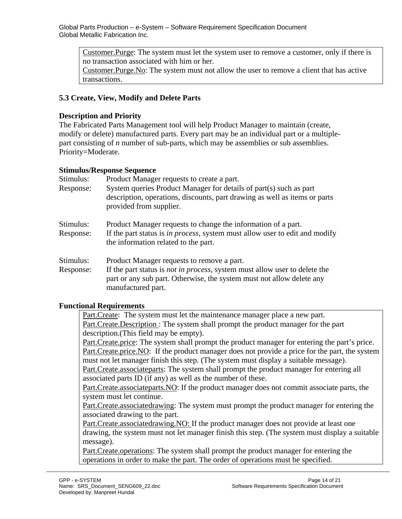Customer.Purge: The system must let the system user to remove a customer, only if there is no transaction associated with him or her.

Customer.Purge.No: The system must not allow the user to remove a client that has active transactions.

#### **5.3 Create, View, Modify and Delete Parts**

#### **Description and Priority**

The Fabricated Parts Management tool will help Product Manager to maintain (create, modify or delete) manufactured parts. Every part may be an individual part or a multiplepart consisting of *n* number of sub-parts, which may be assemblies or sub assemblies. Priority=Moderate.

#### **Stimulus/Response Sequence**

| Stimulus:<br>Response: | Product Manager requests to create a part.<br>System queries Product Manager for details of part(s) such as part<br>description, operations, discounts, part drawing as well as items or parts<br>provided from supplier.       |
|------------------------|---------------------------------------------------------------------------------------------------------------------------------------------------------------------------------------------------------------------------------|
| Stimulus:<br>Response: | Product Manager requests to change the information of a part.<br>If the part status is <i>in process</i> , system must allow user to edit and modify<br>the information related to the part.                                    |
| Stimulus:<br>Response: | Product Manager requests to remove a part.<br>If the part status is <i>not in process</i> , system must allow user to delete the<br>part or any sub part. Otherwise, the system must not allow delete any<br>manufactured part. |

#### **Functional Requirements**

Part.Create: The system must let the maintenance manager place a new part. Part.Create.Description : The system shall prompt the product manager for the part description.(This field may be empty).

Part.Create.price: The system shall prompt the product manager for entering the part's price. Part.Create.price.NO: If the product manager does not provide a price for the part, the system must not let manager finish this step. (The system must display a suitable message). Part.Create.associateparts: The system shall prompt the product manager for entering all

associated parts ID (if any) as well as the number of these.

Part.Create.associateparts.NO: If the product manager does not commit associate parts, the system must let continue.

Part.Create.associatedrawing: The system must prompt the product manager for entering the associated drawing to the part.

Part.Create.associatedrawing.NO: If the product manager does not provide at least one drawing, the system must not let manager finish this step. (The system must display a suitable message).

Part.Create.operations: The system shall prompt the product manager for entering the operations in order to make the part. The order of operations must be specified.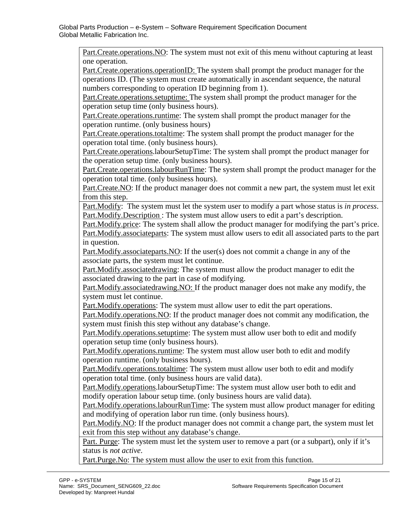Part.Create.operations.NO: The system must not exit of this menu without capturing at least one operation.

Part.Create.operations.operationID: The system shall prompt the product manager for the operations ID. (The system must create automatically in ascendant sequence, the natural numbers corresponding to operation ID beginning from 1).

Part. Create. operations. setuptime: The system shall prompt the product manager for the operation setup time (only business hours).

Part.Create.operations.runtime: The system shall prompt the product manager for the operation runtime. (only business hours)

Part.Create.operations.totaltime: The system shall prompt the product manager for the operation total time. (only business hours).

Part.Create.operations.labourSetupTime: The system shall prompt the product manager for the operation setup time. (only business hours).

Part.Create.operations.labourRunTime: The system shall prompt the product manager for the operation total time. (only business hours).

Part.Create.NO: If the product manager does not commit a new part, the system must let exit from this step.

Part.Modify: The system must let the system user to modify a part whose status is *in process*. Part.Modify.Description : The system must allow users to edit a part's description.

Part.Modify.price: The system shall allow the product manager for modifying the part's price. Part.Modify.associateparts: The system must allow users to edit all associated parts to the part in question.

Part.Modify.associateparts.NO: If the user(s) does not commit a change in any of the associate parts, the system must let continue.

Part.Modify.associatedrawing: The system must allow the product manager to edit the associated drawing to the part in case of modifying.

Part.Modify.associatedrawing.NO: If the product manager does not make any modify, the system must let continue.

Part.Modify.operations: The system must allow user to edit the part operations.

Part.Modify.operations.NO: If the product manager does not commit any modification, the system must finish this step without any database's change.

Part.Modify.operations.setuptime: The system must allow user both to edit and modify operation setup time (only business hours).

Part.Modify.operations.runtime: The system must allow user both to edit and modify operation runtime. (only business hours).

Part.Modify.operations.totaltime: The system must allow user both to edit and modify operation total time. (only business hours are valid data).

Part.Modify.operations.labourSetupTime: The system must allow user both to edit and modify operation labour setup time. (only business hours are valid data).

Part.Modify.operations.labourRunTime: The system must allow product manager for editing and modifying of operation labor run time. (only business hours).

Part.Modify.NO: If the product manager does not commit a change part, the system must let exit from this step without any database's change.

Part. Purge: The system must let the system user to remove a part (or a subpart), only if it's status is *not active*.

Part.Purge.No: The system must allow the user to exit from this function.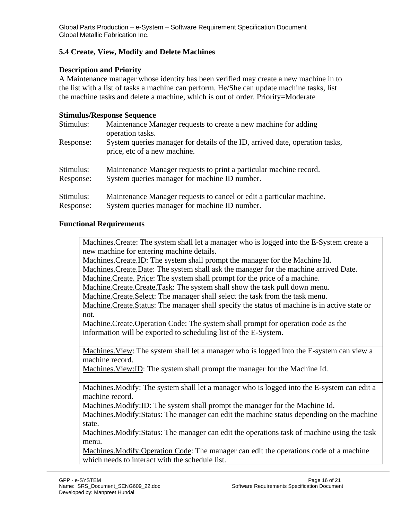### **5.4 Create, View, Modify and Delete Machines**

#### **Description and Priority**

A Maintenance manager whose identity has been verified may create a new machine in to the list with a list of tasks a machine can perform. He/She can update machine tasks, list the machine tasks and delete a machine, which is out of order. Priority=Moderate

#### **Stimulus/Response Sequence**

| Stimulus: | Maintenance Manager requests to create a new machine for adding<br>operation tasks.                          |  |  |  |
|-----------|--------------------------------------------------------------------------------------------------------------|--|--|--|
| Response: | System queries manager for details of the ID, arrived date, operation tasks,<br>price, etc of a new machine. |  |  |  |
| Stimulus: | Maintenance Manager requests to print a particular machine record.                                           |  |  |  |
| Response: | System queries manager for machine ID number.                                                                |  |  |  |
| Stimulus: | Maintenance Manager requests to cancel or edit a particular machine.                                         |  |  |  |
| Response: | System queries manager for machine ID number.                                                                |  |  |  |

#### **Functional Requirements**

Machines.Create: The system shall let a manager who is logged into the E-System create a new machine for entering machine details.

Machines.Create.ID: The system shall prompt the manager for the Machine Id.

Machines.Create.Date: The system shall ask the manager for the machine arrived Date.

Machine.Create. Price: The system shall prompt for the price of a machine.

Machine.Create.Create.Task: The system shall show the task pull down menu.

Machine.Create.Select: The manager shall select the task from the task menu.

Machine.Create.Status: The manager shall specify the status of machine is in active state or not.

Machine.Create.Operation Code: The system shall prompt for operation code as the information will be exported to scheduling list of the E-System.

Machines.View: The system shall let a manager who is logged into the E-system can view a machine record.

Machines.View:ID: The system shall prompt the manager for the Machine Id.

Machines.Modify: The system shall let a manager who is logged into the E-system can edit a machine record.

Machines.Modify:ID: The system shall prompt the manager for the Machine Id.

Machines.Modify:Status: The manager can edit the machine status depending on the machine state.

Machines.Modify:Status: The manager can edit the operations task of machine using the task menu.

Machines.Modify:Operation Code: The manager can edit the operations code of a machine which needs to interact with the schedule list.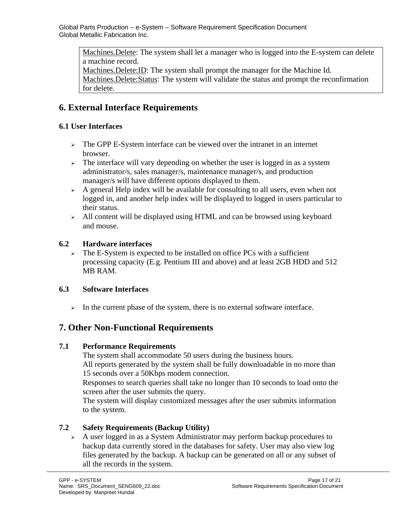Machines.Delete: The system shall let a manager who is logged into the E-system can delete a machine record.

Machines.Delete:ID: The system shall prompt the manager for the Machine Id. Machines.Delete:Status: The system will validate the status and prompt the reconfirmation for delete.

## **6. External Interface Requirements**

## **6.1 User Interfaces**

- <sup>¾</sup> The GPP E-System interface can be viewed over the intranet in an internet browser.
- $\geq$  The interface will vary depending on whether the user is logged in as a system administrator/s, sales manager/s, maintenance manager/s, and production manager/s will have different options displayed to them.
- $\rightarrow$  A general Help index will be available for consulting to all users, even when not logged in, and another help index will be displayed to logged in users particular to their status.
- $\ge$  All content will be displayed using HTML and can be browsed using keyboard and mouse.

## **6.2 Hardware interfaces**

 $\geq$  The E-System is expected to be installed on office PCs with a sufficient processing capacity (E.g. Pentium III and above) and at least 2GB HDD and 512 MB RAM.

## **6.3 Software Interfaces**

 $\geq$  In the current phase of the system, there is no external software interface.

## **7. Other Non-Functional Requirements**

## **7.1 Performance Requirements**

The system shall accommodate 50 users during the business hours. All reports generated by the system shall be fully downloadable in no more than 15 seconds over a 50Kbps modem connection.

Responses to search queries shall take no longer than 10 seconds to load onto the screen after the user submits the query.

The system will display customized messages after the user submits information to the system.

## **7.2 Safety Requirements (Backup Utility)**

 $\triangleright$  A user logged in as a System Administrator may perform backup procedures to backup data currently stored in the databases for safety. User may also view log files generated by the backup. A backup can be generated on all or any subset of all the records in the system.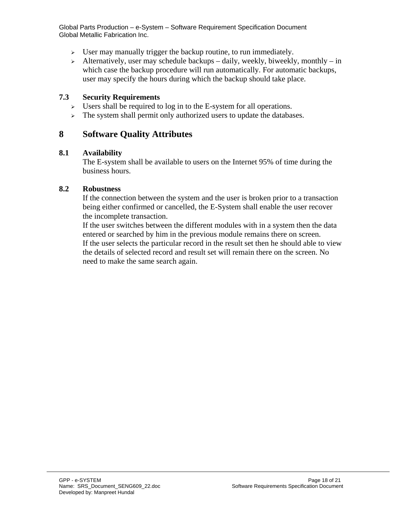- $\geq$  User may manually trigger the backup routine, to run immediately.
- $\rightarrow$  Alternatively, user may schedule backups daily, weekly, biweekly, monthly in which case the backup procedure will run automatically. For automatic backups, user may specify the hours during which the backup should take place.

#### **7.3 Security Requirements**

- <sup>¾</sup> Users shall be required to log in to the E-system for all operations.
- $\geq$  The system shall permit only authorized users to update the databases.

## **8 Software Quality Attributes**

#### **8.1 Availability**

The E-system shall be available to users on the Internet 95% of time during the business hours.

#### **8.2 Robustness**

If the connection between the system and the user is broken prior to a transaction being either confirmed or cancelled, the E-System shall enable the user recover the incomplete transaction.

If the user switches between the different modules with in a system then the data entered or searched by him in the previous module remains there on screen. If the user selects the particular record in the result set then he should able to view the details of selected record and result set will remain there on the screen. No need to make the same search again.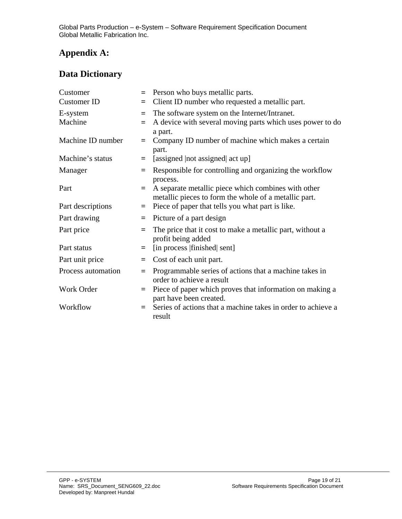## **Appendix A:**

## **Data Dictionary**

| Customer<br><b>Customer ID</b> | $=$<br>$=$ | Person who buys metallic parts.<br>Client ID number who requested a metallic part.                           |
|--------------------------------|------------|--------------------------------------------------------------------------------------------------------------|
| E-system<br>Machine            | $=$<br>$=$ | The software system on the Internet/Intranet.<br>A device with several moving parts which uses power to do   |
| Machine ID number              | $=$        | a part.<br>Company ID number of machine which makes a certain<br>part.                                       |
| Machine's status               | $=$        | [assigned   not assigned   act up]                                                                           |
| Manager                        | $=$        | Responsible for controlling and organizing the workflow<br>process.                                          |
| Part                           | $=$        | A separate metallic piece which combines with other<br>metallic pieces to form the whole of a metallic part. |
| Part descriptions              | $=$        | Piece of paper that tells you what part is like.                                                             |
| Part drawing                   | $=$        | Picture of a part design                                                                                     |
| Part price                     | $=$        | The price that it cost to make a metallic part, without a<br>profit being added                              |
| Part status                    | $=$        | [in process   finished   sent]                                                                               |
| Part unit price                | $=$        | Cost of each unit part.                                                                                      |
| Process automation             | $=$        | Programmable series of actions that a machine takes in<br>order to achieve a result                          |
| Work Order                     | $=$        | Piece of paper which proves that information on making a<br>part have been created.                          |
| Workflow                       | $=$        | Series of actions that a machine takes in order to achieve a<br>result                                       |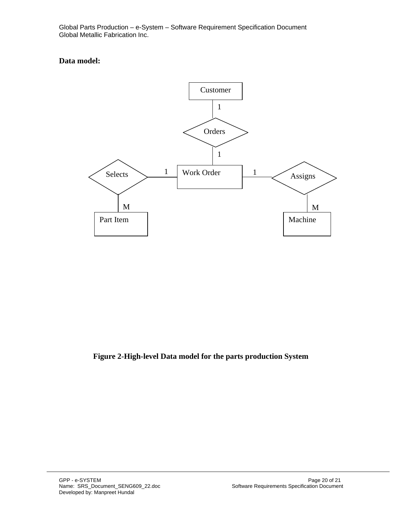#### **Data model:**



### **Figure 2-High-level Data model for the parts production System**